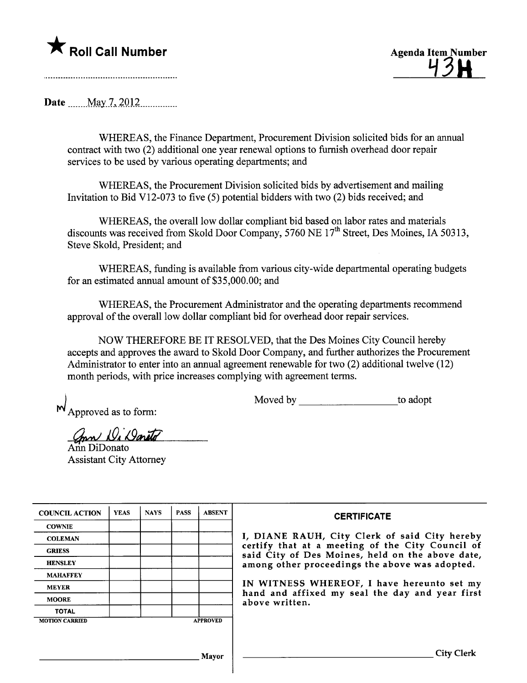

43H

Date \_\_\_\_\_ May 7, 2012

WHEREAS, the Finance Department, Procurement Division solicited bids for an annual contract with two (2) additional one year renewal options to furnish overhead door repair services to be used by various operating departments; and

WHEREAS, the Procurement Division solicited bids by advertisement and mailing Invitation to Bid V12-073 to five (5) potential bidders with two (2) bids received; and

WHEREAS, the overall low dollar compliant bid based on labor rates and materials discounts was received from Skold Door Company, 5760 NE  $17<sup>th</sup>$  Street, Des Moines, IA 50313, Steve Skold, President; and

WHEREAS, fuding is available from various city-wide departmental operating budgets for an estimated annual amount of \$35,000.00; and

WHEREAS, the Procurement Administrator and the operating deparments recommend approval of the overall low dollar compliant bid for overhead door repair services.

NOW THEREFORE BE IT RESOLVED, that the Des Moines City Council hereby accepts and approves the award to Skold Door Company, and further authorizes the Procurement Administrator to enter into an anual agreement renewable for two (2) additional twelve (12) month periods, with price increases complying with agreement terms.

 $M_{\text{Approved as to form:}}$ 

Moved by to adopt

mn Wi Dareto

Ann DiDonato Assistant City Attorney

| <b>COUNCIL ACTION</b> | <b>YEAS</b> | <b>NAYS</b> | <b>PASS</b> | <b>ABSENT</b>   | <b>CERTIFICATE</b>                                                                                   |
|-----------------------|-------------|-------------|-------------|-----------------|------------------------------------------------------------------------------------------------------|
| <b>COWNIE</b>         |             |             |             |                 |                                                                                                      |
| <b>COLEMAN</b>        |             |             |             |                 | I, DIANE RAUH, City Clerk of said City hereby                                                        |
| <b>GRIESS</b>         |             |             |             |                 | certify that at a meeting of the City Council of<br>said City of Des Moines, held on the above date, |
| <b>HENSLEY</b>        |             |             |             |                 | among other proceedings the above was adopted.                                                       |
| <b>MAHAFFEY</b>       |             |             |             |                 |                                                                                                      |
| <b>MEYER</b>          |             |             |             |                 | IN WITNESS WHEREOF, I have hereunto set my                                                           |
| <b>MOORE</b>          |             |             |             |                 | hand and affixed my seal the day and year first<br>above written.                                    |
| <b>TOTAL</b>          |             |             |             |                 |                                                                                                      |
| <b>MOTION CARRIED</b> |             |             |             | <b>APPROVED</b> |                                                                                                      |
|                       |             |             |             |                 |                                                                                                      |
|                       |             |             |             |                 |                                                                                                      |
|                       |             |             |             | Mavor           | <b>City Clerk</b>                                                                                    |